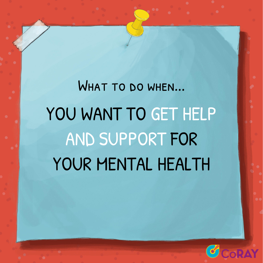# WHAT TO DO WHEN... YOU WANT TO GET HELP AND SUPPORT FOR YOUR MENTAL HEALTH

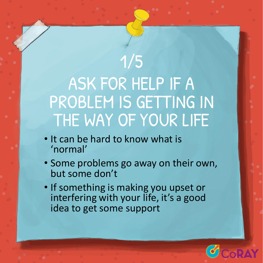## 1/5 ASK FOR HELP IF A PROBLEM IS GETTING IN THE WAY OF YOUR LIFE

- It can be hard to know what is 'normal'
- Some problems go away on their own, but some don't
- If something is making you upset or interfering with your life, it's a good idea to get some support

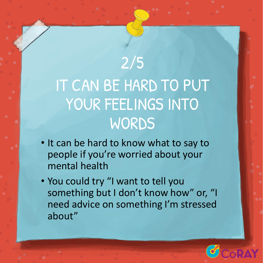## 2/5 IT CAN BE HARD TO PUT YOUR FEELINGS INTO WORDS

- It can be hard to know what to say to people if you're worried about your mental health
- You could try "I want to tell you something but I don't know how" or, "I need advice on something I'm stressed about"

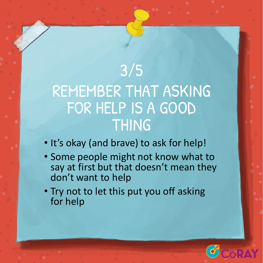### 3/5 REMEMBER THAT ASKING FOR HELP IS A GOOD THING

- It's okay (and brave) to ask for help!
- Some people might not know what to say at first but that doesn't mean they don't want to help
- Try not to let this put you off asking for help

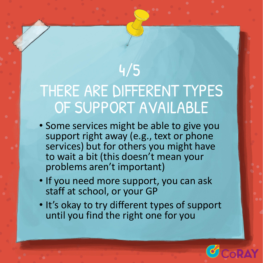## THERE ARE DIFFERENT TYPES OF SUPPORT AVAILABLE

4/5

- Some services might be able to give you support right away (e.g., text or phone services) but for others you might have to wait a bit (this doesn't mean your problems aren't important)
- If you need more support, you can ask staff at school, or your GP
- It's okay to try different types of support until you find the right one for you